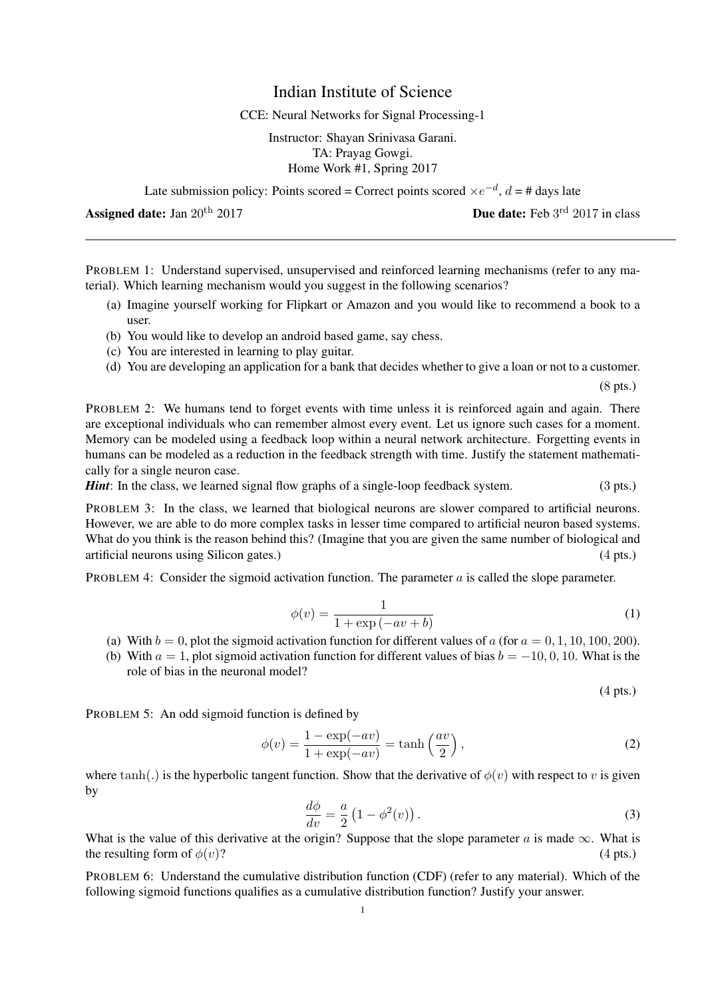## Indian Institute of Science

## CCE: Neural Networks for Signal Processing-1

Instructor: Shayan Srinivasa Garani. TA: Prayag Gowgi. Home Work #1, Spring 2017

Late submission policy: Points scored = Correct points scored  $\times e^{-d}$ ,  $d = \text{\# days}$  late

Assigned date: Jan  $20^{th}$   $2017$ 

PROBLEM 1: Understand supervised, unsupervised and reinforced learning mechanisms (refer to any material). Which learning mechanism would you suggest in the following scenarios?

- (a) Imagine yourself working for Flipkart or Amazon and you would like to recommend a book to a user.
- (b) You would like to develop an android based game, say chess.
- (c) You are interested in learning to play guitar.
- (d) You are developing an application for a bank that decides whether to give a loan or not to a customer.

(8 pts.)

PROBLEM 2: We humans tend to forget events with time unless it is reinforced again and again. There are exceptional individuals who can remember almost every event. Let us ignore such cases for a moment. Memory can be modeled using a feedback loop within a neural network architecture. Forgetting events in humans can be modeled as a reduction in the feedback strength with time. Justify the statement mathematically for a single neuron case.

*Hint*: In the class, we learned signal flow graphs of a single-loop feedback system. (3 pts.)

PROBLEM 3: In the class, we learned that biological neurons are slower compared to artificial neurons. However, we are able to do more complex tasks in lesser time compared to artificial neuron based systems. What do you think is the reason behind this? (Imagine that you are given the same number of biological and artificial neurons using Silicon gates.) (4 pts.)

PROBLEM 4: Consider the sigmoid activation function. The parameter  $\alpha$  is called the slope parameter.

$$
\phi(v) = \frac{1}{1 + \exp(-av + b)}\tag{1}
$$

- (a) With  $b = 0$ , plot the sigmoid activation function for different values of a (for  $a = 0, 1, 10, 100, 200$ ).
- (b) With  $a = 1$ , plot sigmoid activation function for different values of bias  $b = -10, 0, 10$ . What is the role of bias in the neuronal model?

(4 pts.)

PROBLEM 5: An odd sigmoid function is defined by

$$
\phi(v) = \frac{1 - \exp(-av)}{1 + \exp(-av)} = \tanh\left(\frac{av}{2}\right),\tag{2}
$$

where tanh(.) is the hyperbolic tangent function. Show that the derivative of  $\phi(v)$  with respect to v is given by

$$
\frac{d\phi}{dv} = \frac{a}{2} \left( 1 - \phi^2(v) \right). \tag{3}
$$

What is the value of this derivative at the origin? Suppose that the slope parameter a is made  $\infty$ . What is the resulting form of  $\phi(v)$ ? (4 pts.)

PROBLEM 6: Understand the cumulative distribution function (CDF) (refer to any material). Which of the following sigmoid functions qualifies as a cumulative distribution function? Justify your answer.

**Due date:** Feb  $3^{\text{rd}}$  2017 in class